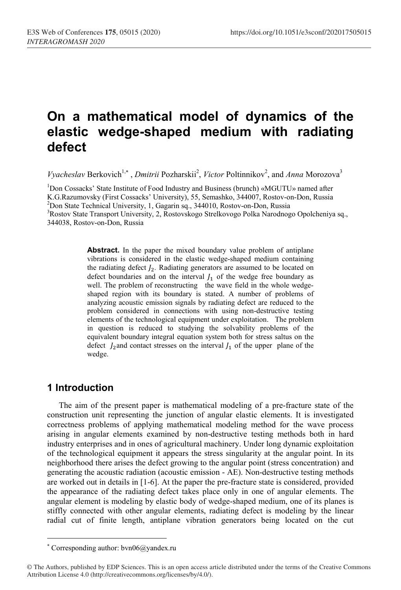## **On a mathematical model of dynamics of the elastic wedge-shaped medium with radiating defect**

*Vyacheslav* Berkovich<sup>1,\*</sup>, *Dmitrii* Pozharskii<sup>2</sup>, *Victor* Poltinnikov<sup>2</sup>, and *Anna* Morozova<sup>3</sup>

<sup>1</sup>Don Cossacks' State Institute of Food Industry and Business (brunch) «MGUTU» named after K.G.Razumovsky (First Cossacks' University), 55, Semashko, 344007, Rostov-on-Don, Russia  $^{2}$ Don State Technical University, 1, Gagarin sq., 344010, Rostov-on-Don, Russia <sup>3</sup>Rostov State Transport University, 2, Rostovskogo Strelkovogo Polka Narodnogo Opolcheniya sq., 344038, Rostov-on-Don, Russia

> **Abstract.** In the paper the mixed boundary value problem of antiplane vibrations is considered in the elastic wedge-shaped medium containing the radiating defect  $J_2$ . Radiating generators are assumed to be located on defect boundaries and on the interval  $J_1$  of the wedge free boundary as well. The problem of reconstructing the wave field in the whole wedgeshaped region with its boundary is stated. A number of problems of analyzing acoustic emission signals by radiating defect are reduced to the problem considered in connections with using non-destructive testing elements of the technological equipment under exploitation. The problem in question is reduced to studying the solvability problems of the equivalent boundary integral equation system both for stress saltus on the defect  $J_2$  and contact stresses on the interval  $J_1$  of the upper plane of the wedge.

## **1 Introduction**

 $\overline{a}$ 

The aim of the present paper is mathematical modeling of a pre-fracture state of the construction unit representing the junction of angular elastic elements. It is investigated correctness problems of applying mathematical modeling method for the wave process arising in angular elements examined by non-destructive testing methods both in hard industry enterprises and in ones of agricultural machinery. Under long dynamic exploitation of the technological equipment it appears the stress singularity at the angular point. In its neighborhood there arises the defect growing to the angular point (stress concentration) and generating the acoustic radiation (acoustic emission - AE). Non-destructive testing methods are worked out in details in [1-6]. At the paper the pre-fracture state is considered, provided the appearance of the radiating defect takes place only in one of angular elements. The angular element is modeling by elastic body of wedge-shaped medium, one of its planes is stiffly connected with other angular elements, radiating defect is modeling by the linear radial cut of finite length, antiplane vibration generators being located on the cut

 Corresponding author: bvn06@yandex.ru

<sup>©</sup> The Authors, published by EDP Sciences. This is an open access article distributed under the terms of the Creative Commons Attribution License 4.0 (http://creativecommons.org/licenses/by/4.0/).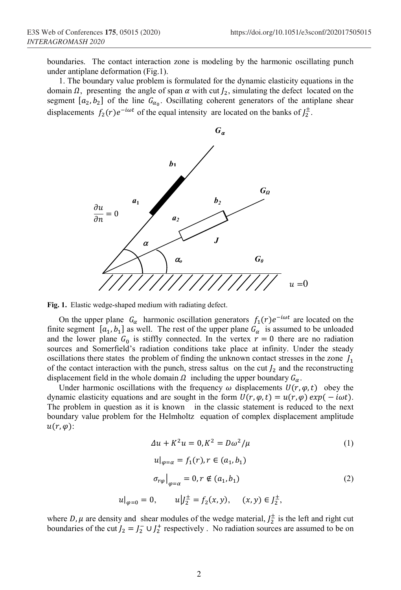boundaries. The contact interaction zone is modeling by the harmonic oscillating punch under antiplane deformation (Fig.1).

1. The boundary value problem is formulated for the dynamic elasticity equations in the domain  $\Omega$ , presenting the angle of span  $\alpha$  with cut  $J_2$ , simulating the defect located on the segment  $[a_2, b_2]$  of the line  $G_{\alpha_0}$ . Oscillating coherent generators of the antiplane shear displacements  $f_2(r)e^{-i\omega t}$  of the equal intensity are located on the banks of  $J_2^{\pm}$ .



**Fig. 1.** Elastic wedge-shaped medium with radiating defect.

On the upper plane  $G_{\alpha}$  harmonic oscillation generators  $f_1(r)e^{-i\omega t}$  are located on the finite segment  $[a_1, b_1]$  as well. The rest of the upper plane  $G_\alpha$  is assumed to be unloaded and the lower plane  $G_0$  is stiffly connected. In the vertex  $r = 0$  there are no radiation sources and Somerfield's radiation conditions take place at infinity. Under the steady oscillations there states the problem of finding the unknown contact stresses in the zone  $J_1$ of the contact interaction with the punch, stress saltus on the cut  $J_2$  and the reconstructing displacement field in the whole domain  $\Omega$  including the upper boundary  $G_{\alpha}$ .

Under harmonic oscillations with the frequency  $\omega$  displacements  $U(r, \varphi, t)$  obey the dynamic elasticity equations and are sought in the form  $U(r, \varphi, t) = u(r, \varphi) \exp(-i\omega t)$ . The problem in question as it is known in the classic statement is reduced to the next boundary value problem for the Helmholtz equation of complex displacement amplitude  $u(r, \varphi)$ :

$$
\Delta u + K^2 u = 0, K^2 = D\omega^2 / \mu
$$
\n
$$
u|_{\varphi = \alpha} = f_1(r), r \in (a_1, b_1)
$$
\n
$$
\sigma_{r\varphi}|_{\varphi = \alpha} = 0, r \notin (a_1, b_1)
$$
\n
$$
u|_{\varphi = 0} = 0, \qquad u|_{2}^{+} = f_2(x, y), \qquad (x, y) \in J_2^{+},
$$
\n
$$
(2)
$$

where D,  $\mu$  are density and shear modules of the wedge material,  $J_2^{\pm}$  is the left and right cut boundaries of the cut  $J_2 = J_2^- \cup J_2^+$  respectively. No radiation sources are assumed to be on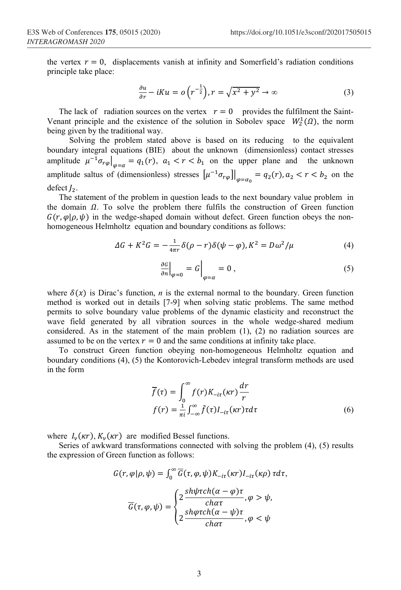the vertex  $r = 0$ , displacements vanish at infinity and Somerfield's radiation conditions principle take place:

$$
\frac{\partial u}{\partial r} - iKu = o\left(r^{-\frac{1}{2}}\right), r = \sqrt{x^2 + y^2} \to \infty
$$
 (3)

The lack of radiation sources on the vertex  $r = 0$  provides the fulfilment the Saint-Venant principle and the existence of the solution in Sobolev space  $W_2^1(\Omega)$ , the norm being given by the traditional way.

 Solving the problem stated above is based on its reducing to the equivalent boundary integral equations (BIE) about the unknown (dimensionless) contact stresses amplitude  $\mu^{-1} \sigma_{r\varphi}|_{\varphi=\alpha} = q_1(r)$ ,  $a_1 < r < b_1$  on the upper plane and the unknown amplitude saltus of (dimensionless) stresses  $\left[\mu^{-1}\sigma_{r\varphi}\right]\right|_{\varphi=\alpha_0} = q_2(r)$ ,  $a_2 < r < b_2$  on the defect  $J_2$ .

The statement of the problem in question leads to the next boundary value problem in the domain  $\Omega$ . To solve the problem there fulfils the construction of Green function  $G(r, \varphi | \rho, \psi)$  in the wedge-shaped domain without defect. Green function obeys the nonhomogeneous Helmholtz equation and boundary conditions as follows:

$$
\Delta G + K^2 G = -\frac{1}{4\pi r} \delta(\rho - r) \delta(\psi - \varphi), K^2 = D\omega^2/\mu \tag{4}
$$

$$
\left. \frac{\partial G}{\partial n} \right|_{\varphi = 0} = G \bigg|_{\varphi = \alpha} = 0 , \tag{5}
$$

where  $\delta(x)$  is Dirac's function, *n* is the external normal to the boundary. Green function method is worked out in details [7-9] when solving static problems. The same method permits to solve boundary value problems of the dynamic elasticity and reconstruct the wave field generated by all vibration sources in the whole wedge-shared medium considered. As in the statement of the main problem (1), (2) no radiation sources are assumed to be on the vertex  $r = 0$  and the same conditions at infinity take place.

To construct Green function obeying non-homogeneous Helmholtz equation and boundary conditions (4), (5) the Kontorovich-Lebedev integral transform methods are used in the form

$$
\overline{f}(\tau) = \int_0^\infty f(r) K_{-i\tau}(\kappa r) \frac{dr}{r}
$$

$$
f(r) = \frac{1}{\pi i} \int_{-\infty}^\infty \overline{f}(\tau) I_{-i\tau}(\kappa r) \tau d\tau
$$
\n(6)

where  $I_v(\kappa r)$ ,  $K_v(\kappa r)$  are modified Bessel functions.

Series of awkward transformations connected with solving the problem (4), (5) results the expression of Green function as follows:

$$
G(r, \varphi | \rho, \psi) = \int_0^\infty \overline{G}(\tau, \varphi, \psi) K_{-i\tau}(\kappa r) I_{-i\tau}(\kappa \rho) \tau d\tau,
$$

$$
\overline{G}(\tau, \varphi, \psi) = \begin{cases} 2 \frac{sh\psi \tau ch(\alpha - \varphi)\tau}{char}, \varphi > \psi, \\ 2 \frac{sh\varphi \tau ch(\alpha - \psi)\tau}{char}, \varphi < \psi \end{cases}
$$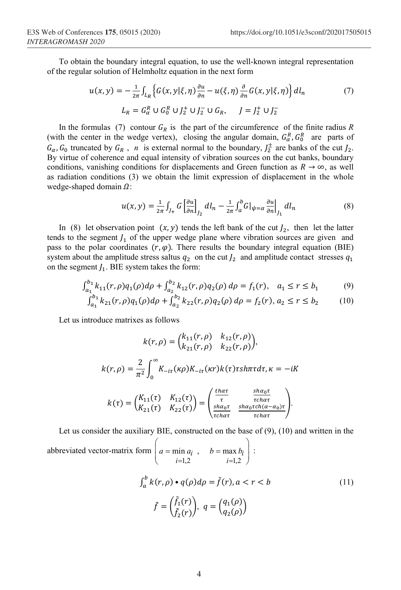To obtain the boundary integral equation, to use the well-known integral representation of the regular solution of Helmholtz equation in the next form

$$
u(x, y) = -\frac{1}{2\pi} \int_{L_R} \left\{ G(x, y | \xi, \eta) \frac{\partial u}{\partial n} - u(\xi, \eta) \frac{\partial}{\partial n} G(x, y | \xi, \eta) \right\} dl_n
$$
  
\n
$$
L_R = G_\alpha^R \cup G_0^R \cup J_2^+ \cup J_2^- \cup G_R, \qquad J = J_2^+ \cup J_2^-
$$

In the formulas (7) contour  $G_R$  is the part of the circumference of the finite radius  $R$ (with the center in the wedge vertex), closing the angular domain,  $G_{\alpha}^{R}$ ,  $G_{0}^{R}$  are parts of  $G_{\alpha}$ ,  $G_0$  truncated by  $G_R$ , *n* is external normal to the boundary,  $J_2^{\pm}$  are banks of the cut  $J_2$ . By virtue of coherence and equal intensity of vibration sources on the cut banks, boundary conditions, vanishing conditions for displacements and Green function as  $R \to \infty$ , as well as radiation conditions (3) we obtain the limit expression of displacement in the whole wedge-shaped domain  $\Omega$ :

$$
u(x,y) = \frac{1}{2\pi} \int_{J_+} G \left[ \frac{\partial u}{\partial n} \right]_{J_2} dl_n - \frac{1}{2\pi} \int_a^b G \left| \psi = \alpha \frac{\partial u}{\partial n} \right|_{J_1} dl_n \tag{8}
$$

In (8) let observation point  $(x, y)$  tends the left bank of the cut  $J_2$ , then let the latter tends to the segment  $J_1$  of the upper wedge plane where vibration sources are given and pass to the polar coordinates  $(r, \varphi)$ . There results the boundary integral equation (BIE) system about the amplitude stress saltus  $q_2$  on the cut  $J_2$  and amplitude contact stresses  $q_1$ on the segment . BIE system takes the form:

$$
\int_{a_1}^{b_1} k_{11}(r,\rho) q_1(\rho) d\rho + \int_{a_2}^{b_2} k_{12}(r,\rho) q_2(\rho) d\rho = f_1(r), \quad a_1 \le r \le b_1
$$
 (9)

$$
\int_{a_1}^{b_1} k_{21}(r,\rho) q_1(\rho) d\rho + \int_{a_2}^{b_2} k_{22}(r,\rho) q_2(\rho) d\rho = f_2(r), a_2 \le r \le b_2 \tag{10}
$$

Let us introduce matrixes as follows

$$
k(r,\rho) = {k_{11}(r,\rho) \ k_{12}(r,\rho)} \ k_{22}(r,\rho),
$$
  
\n
$$
k(r,\rho) = \frac{2}{\pi^2} \int_0^\infty K_{-i\tau}(\kappa \rho) K_{-i\tau}(\kappa r) k(\tau) r \sin \tau d\tau, \kappa = -iK
$$
  
\n
$$
k(\tau) = {K_{11}(\tau) \ K_{12}(\tau) \ k_{22}(\tau)} = {t_{\frac{\hbar \alpha \tau}{\tau}} \ \frac{\sin \alpha_0 \tau}{\tau c \hbar \alpha \tau}} \frac{\sin \alpha_0 \tau}{\sin \alpha_0 \tau c \hbar (\alpha - \alpha_0) \tau}.
$$

Let us consider the auxiliary BIE, constructed on the base of (9), (10) and written in the abbreviated vector-matrix form  $i=1,2$   $i=1,2$  $\min a_i$ ,  $b = \max b_i$ *i*=1,2 *i*=  $a = \min a_i$ ,  $b = \max b_i$  $=1,2$   $i=$  $\left(a = \min a_i, \quad b = \max b_i\right)$  $\bigcup_{i=1,2}$   $i=1,2$   $\bigcup$ :  $\int_{a}^{b} k(r, \rho) \cdot q(\rho) d\rho = \tilde{f}(r), a < r < b$  (11)  $\tilde{f} = \begin{pmatrix} \tilde{f}_1(r) \\ \tilde{f}_1(r) \end{pmatrix}$  $\begin{pmatrix} f_1(r) \\ \tilde{f}_2(r) \end{pmatrix}$ ,  $q = \begin{pmatrix} q_1(\rho) \\ q_2(\rho) \end{pmatrix}$ 

-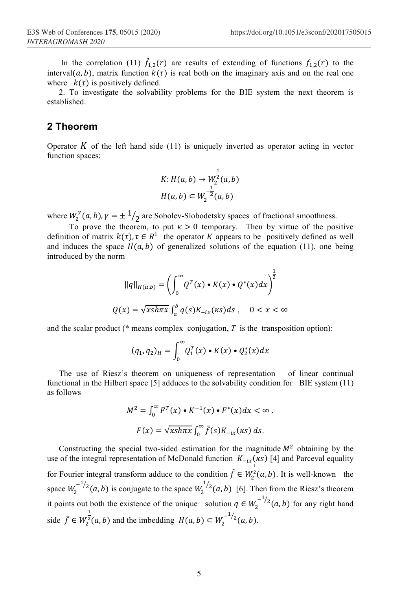In the correlation (11)  $\tilde{f}_{1,2}(r)$  are results of extending of functions  $f_{1,2}(r)$  to the interval(a, b), matrix function  $k(\tau)$  is real both on the imaginary axis and on the real one where  $k(\tau)$  is positively defined.

2. To investigate the solvability problems for the BIE system the next theorem is established.

## **2 Theorem**

Operator  $K$  of the left hand side (11) is uniquely inverted as operator acting in vector function spaces:

$$
K: H(a, b) \to W_2^{\frac{1}{2}}(a, b)
$$
  

$$
H(a, b) \subset W_2^{-\frac{1}{2}}(a, b)
$$

where  $W_2^{\gamma}(a, b), \gamma = \pm 1/2$  are Sobolev-Slobodetsky spaces of fractional smoothness.

To prove the theorem, to put  $\kappa > 0$  temporary. Then by virtue of the positive definition of matrix  $k(\tau)$ ,  $\tau \in R^1$  the operator K appears to be positively defined as well and induces the space  $H(a, b)$  of generalized solutions of the equation (11), one being introduced by the norm

$$
||q||_{H(a,b)} = \left(\int_0^\infty Q^T(x) \cdot K(x) \cdot Q^*(x) dx\right)^{\frac{1}{2}}
$$
  

$$
Q(x) = \sqrt{x \sin \pi x} \int_a^b q(s) K_{-ix}(\kappa s) ds, \quad 0 < x < \infty
$$

and the scalar product (\* means complex conjugation, *T* is the transposition option):

$$
(q_1, q_2)_H = \int_0^\infty Q_1^T(x) \cdot K(x) \cdot Q_2^*(x) dx
$$

The use of Riesz's theorem on uniqueness of representation of linear continual functional in the Hilbert space [5] adduces to the solvability condition for BIE system (11) as follows

$$
M^{2} = \int_{0}^{\infty} F^{T}(x) \cdot K^{-1}(x) \cdot F^{*}(x) dx < \infty,
$$
  

$$
F(x) = \sqrt{x \sin x} \int_{0}^{\infty} \tilde{f}(s) K_{-ix}(\kappa s) ds.
$$

Constructing the special two-sided estimation for the magnitude  $M^2$  obtaining by the use of the integral representation of McDonald function  $K_{-ix}(\kappa s)$  [4] and Parceval equality for Fourier integral transform adduce to the condition  $\tilde{f} \in W_2^{\frac{1}{2}}(a, b)$ . It is well-known the space  $W_2^{-1/2}(a, b)$  is conjugate to the space  $W_2^{1/2}(a, b)$  [6]. Then from the Riesz's theorem it points out both the existence of the unique solution  $q \in W_2^{-1/2}(a, b)$  for any right hand side  $\tilde{f} \in W_2^2$  $\frac{1}{2}(a, b)$  and the imbedding  $H(a, b) \subset W_2^{-1/2}(a, b)$ .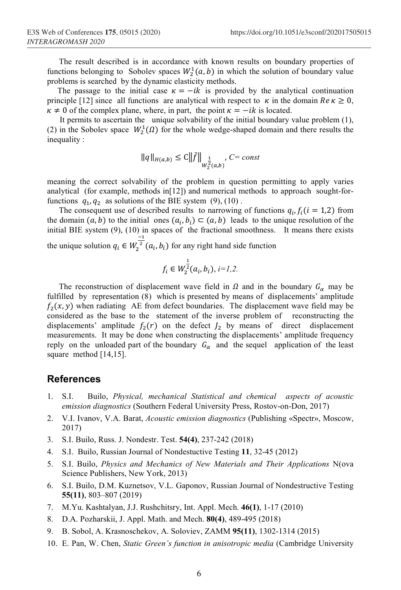The result described is in accordance with known results on boundary properties of functions belonging to Sobolev spaces  $W_2^1(a, b)$  in which the solution of boundary value problems is searched by the dynamic elasticity methods.

The passage to the initial case  $\kappa = -ik$  is provided by the analytical continuation principle [12] since all functions are analytical with respect to  $\kappa$  in the domain  $Re \kappa \ge 0$ ,  $\kappa \neq 0$  of the complex plane, where, in part, the point  $\kappa = -ik$  is located.

 It permits to ascertain the unique solvability of the initial boundary value problem (1), (2) in the Sobolev space  $W_2^1(\Omega)$  for the whole wedge-shaped domain and there results the inequality :

$$
\|q\|_{H(a,b)} \le C \|\tilde{f}\|_{W_2^{\frac{1}{2}}(a,b)}, C = const
$$

meaning the correct solvability of the problem in question permitting to apply varies analytical (for example, methods in [12]) and numerical methods to approach sought-forfunctions  $q_1, q_2$  as solutions of the BIE system (9), (10).

The consequent use of described results to narrowing of functions  $q_i, f_i$  ( $i = 1, 2$ ) from the domain  $(a, b)$  to the initial ones  $(a_i, b_i) \subset (a, b)$  leads to the unique resolution of the initial BIE system (9), (10) in spaces of the fractional smoothness. It means there exists the unique solution  $q_i \in W_2^{\frac{-1}{2}}(a_i, b_i)$  for any right hand side function

$$
f_i \in W_2^{\frac{1}{2}}(a_i,b_i), \, i {=} 1,2.
$$

The reconstruction of displacement wave field in  $\Omega$  and in the boundary  $G_{\alpha}$  may be fulfilled by representation (8) which is presented by means of displacements' amplitude  $f_2(x, y)$  when radiating AE from defect boundaries. The displacement wave field may be considered as the base to the statement of the inverse problem of reconstructing the displacements' amplitude  $f_2(r)$  on the defect  $J_2$  by means of direct displacement measurements. It may be done when constructing the displacements' amplitude frequency reply on the unloaded part of the boundary  $G_{\alpha}$  and the sequel application of the least square method [14,15].

## **References**

- 1. S.I. Builo, *Physical, mechanical Statistical and chemical aspects of acoustic emission diagnostics* (Southern Federal University Press, Rostov-on-Don, 2017)
- 2. V.I. Ivanov, V.A. Barat, *Acoustic emission diagnostics* (Publishing «Spectr», Moscow, 2017)
- 3. S.I. Builo, Russ. J. Nondestr. Test. **54(4)**, 237-242 (2018)
- 4. S.I. Builo, Russian Journal of Nondestuctive Testing **11**, 32-45 (2012)
- 5. S.I. Builo, *Physics and Mechanics of New Materials and Their Applications* N(ova Science Publishers, New York, 2013)
- 6. S.I. Builo, D.M. Kuznetsov, V.L. Gaponov, Russian Journal of Nondestructive Testing **55(11)**, 803–807 (2019)
- 7. M.Yu. Kashtalyan, J.J. Rushchitsry, Int. Appl. Mech. **46(1)**, 1-17 (2010)
- 8. D.A. Pozharskii, J. Appl. Math. and Mech. **80(4)**, 489-495 (2018)
- 9. B. Sobol, A. Krasnoschekov, A. Soloviev, ZAMM **95(11)**, 1302-1314 (2015)
- 10. E. Pan, W. Chen, *Static Green's function in anisotropic media* (Cambridge University